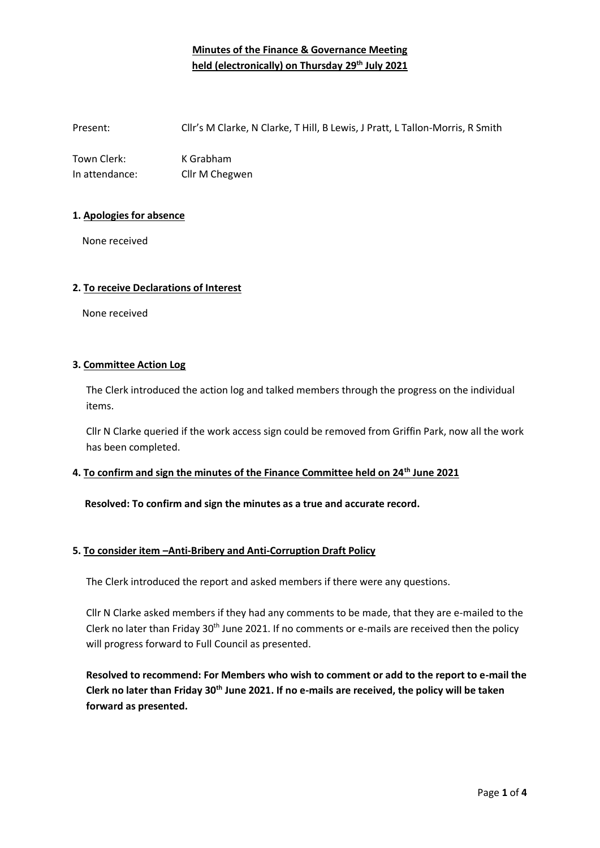# **Minutes of the Finance & Governance Meeting held (electronically) on Thursday 29th July 2021**

Present: Cllr's M Clarke, N Clarke, T Hill, B Lewis, J Pratt, L Tallon-Morris, R Smith

Town Clerk: K Grabham In attendance: Cllr M Chegwen

### **1. Apologies for absence**

None received

### **2. To receive Declarations of Interest**

None received

### **3. Committee Action Log**

The Clerk introduced the action log and talked members through the progress on the individual items.

Cllr N Clarke queried if the work access sign could be removed from Griffin Park, now all the work has been completed.

# **4. To confirm and sign the minutes of the Finance Committee held on 24th June 2021**

### **Resolved: To confirm and sign the minutes as a true and accurate record.**

# **5. To consider item –Anti-Bribery and Anti-Corruption Draft Policy**

The Clerk introduced the report and asked members if there were any questions.

Cllr N Clarke asked members if they had any comments to be made, that they are e-mailed to the Clerk no later than Friday 30<sup>th</sup> June 2021. If no comments or e-mails are received then the policy will progress forward to Full Council as presented.

**Resolved to recommend: For Members who wish to comment or add to the report to e-mail the Clerk no later than Friday 30th June 2021. If no e-mails are received, the policy will be taken forward as presented.**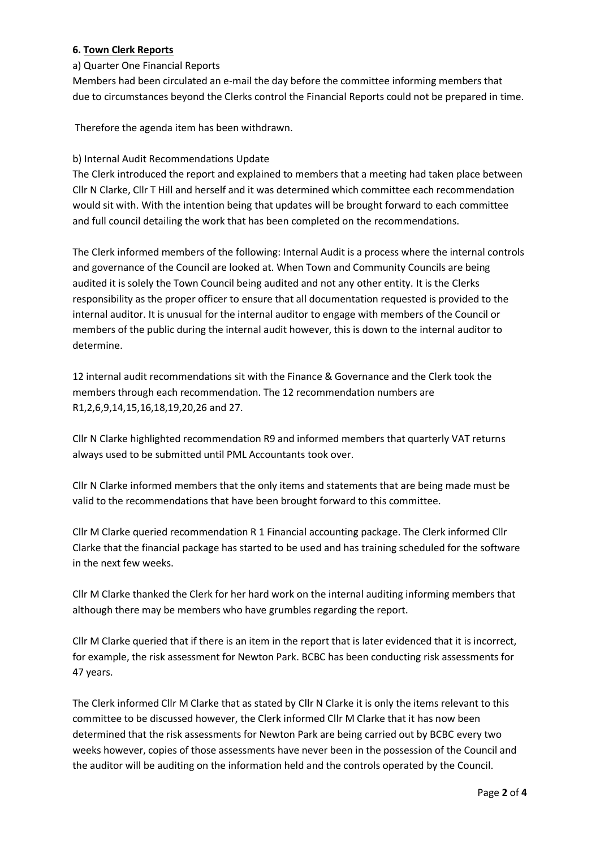### **6. Town Clerk Reports**

### a) Quarter One Financial Reports

Members had been circulated an e-mail the day before the committee informing members that due to circumstances beyond the Clerks control the Financial Reports could not be prepared in time.

Therefore the agenda item has been withdrawn.

### b) Internal Audit Recommendations Update

The Clerk introduced the report and explained to members that a meeting had taken place between Cllr N Clarke, Cllr T Hill and herself and it was determined which committee each recommendation would sit with. With the intention being that updates will be brought forward to each committee and full council detailing the work that has been completed on the recommendations.

The Clerk informed members of the following: Internal Audit is a process where the internal controls and governance of the Council are looked at. When Town and Community Councils are being audited it is solely the Town Council being audited and not any other entity. It is the Clerks responsibility as the proper officer to ensure that all documentation requested is provided to the internal auditor. It is unusual for the internal auditor to engage with members of the Council or members of the public during the internal audit however, this is down to the internal auditor to determine.

12 internal audit recommendations sit with the Finance & Governance and the Clerk took the members through each recommendation. The 12 recommendation numbers are R1,2,6,9,14,15,16,18,19,20,26 and 27.

Cllr N Clarke highlighted recommendation R9 and informed members that quarterly VAT returns always used to be submitted until PML Accountants took over.

Cllr N Clarke informed members that the only items and statements that are being made must be valid to the recommendations that have been brought forward to this committee.

Cllr M Clarke queried recommendation R 1 Financial accounting package. The Clerk informed Cllr Clarke that the financial package has started to be used and has training scheduled for the software in the next few weeks.

Cllr M Clarke thanked the Clerk for her hard work on the internal auditing informing members that although there may be members who have grumbles regarding the report.

Cllr M Clarke queried that if there is an item in the report that is later evidenced that it is incorrect, for example, the risk assessment for Newton Park. BCBC has been conducting risk assessments for 47 years.

The Clerk informed Cllr M Clarke that as stated by Cllr N Clarke it is only the items relevant to this committee to be discussed however, the Clerk informed Cllr M Clarke that it has now been determined that the risk assessments for Newton Park are being carried out by BCBC every two weeks however, copies of those assessments have never been in the possession of the Council and the auditor will be auditing on the information held and the controls operated by the Council.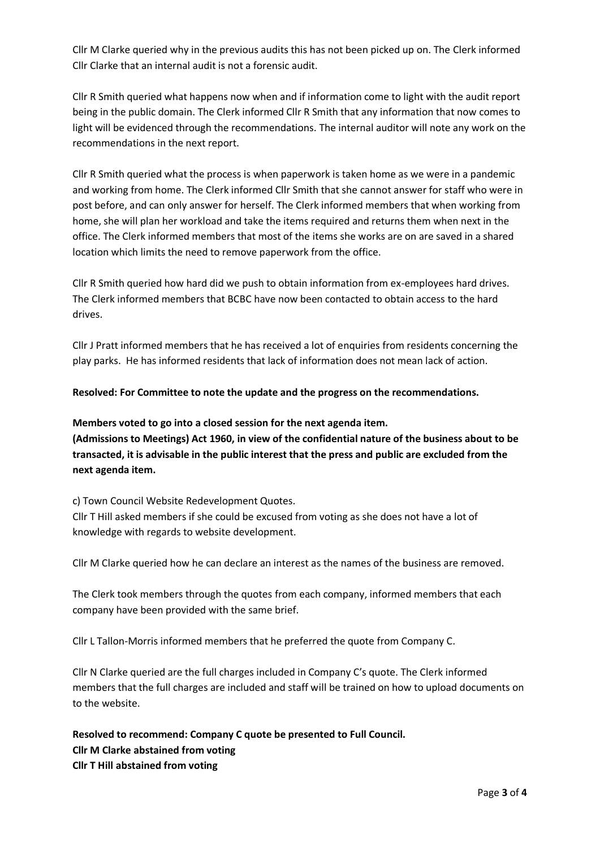Cllr M Clarke queried why in the previous audits this has not been picked up on. The Clerk informed Cllr Clarke that an internal audit is not a forensic audit.

Cllr R Smith queried what happens now when and if information come to light with the audit report being in the public domain. The Clerk informed Cllr R Smith that any information that now comes to light will be evidenced through the recommendations. The internal auditor will note any work on the recommendations in the next report.

Cllr R Smith queried what the process is when paperwork is taken home as we were in a pandemic and working from home. The Clerk informed Cllr Smith that she cannot answer for staff who were in post before, and can only answer for herself. The Clerk informed members that when working from home, she will plan her workload and take the items required and returns them when next in the office. The Clerk informed members that most of the items she works are on are saved in a shared location which limits the need to remove paperwork from the office.

Cllr R Smith queried how hard did we push to obtain information from ex-employees hard drives. The Clerk informed members that BCBC have now been contacted to obtain access to the hard drives.

Cllr J Pratt informed members that he has received a lot of enquiries from residents concerning the play parks. He has informed residents that lack of information does not mean lack of action.

### **Resolved: For Committee to note the update and the progress on the recommendations.**

**Members voted to go into a closed session for the next agenda item. (Admissions to Meetings) Act 1960, in view of the confidential nature of the business about to be transacted, it is advisable in the public interest that the press and public are excluded from the next agenda item.** 

c) Town Council Website Redevelopment Quotes.

Cllr T Hill asked members if she could be excused from voting as she does not have a lot of knowledge with regards to website development.

Cllr M Clarke queried how he can declare an interest as the names of the business are removed.

The Clerk took members through the quotes from each company, informed members that each company have been provided with the same brief.

Cllr L Tallon-Morris informed members that he preferred the quote from Company C.

Cllr N Clarke queried are the full charges included in Company C's quote. The Clerk informed members that the full charges are included and staff will be trained on how to upload documents on to the website.

**Resolved to recommend: Company C quote be presented to Full Council. Cllr M Clarke abstained from voting Cllr T Hill abstained from voting**